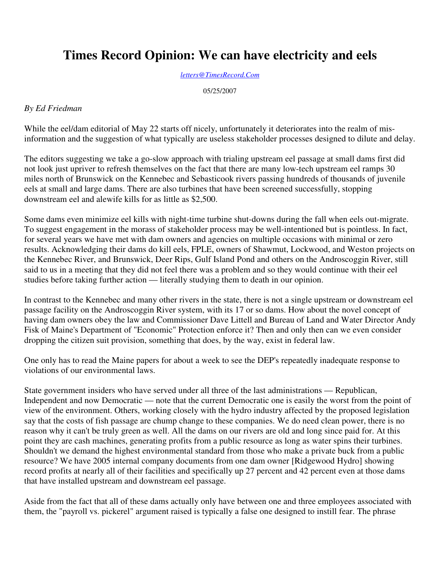## **Times Record Opinion: We can have electricity and eels**

*letters@TimesRecord.Com*

05/25/2007

## *By Ed Friedman*

While the eel/dam editorial of May 22 starts off nicely, unfortunately it deteriorates into the realm of misinformation and the suggestion of what typically are useless stakeholder processes designed to dilute and delay.

The editors suggesting we take a go-slow approach with trialing upstream eel passage at small dams first did not look just upriver to refresh themselves on the fact that there are many low-tech upstream eel ramps 30 miles north of Brunswick on the Kennebec and Sebasticook rivers passing hundreds of thousands of juvenile eels at small and large dams. There are also turbines that have been screened successfully, stopping downstream eel and alewife kills for as little as \$2,500.

Some dams even minimize eel kills with night-time turbine shut-downs during the fall when eels out-migrate. To suggest engagement in the morass of stakeholder process may be well-intentioned but is pointless. In fact, for several years we have met with dam owners and agencies on multiple occasions with minimal or zero results. Acknowledging their dams do kill eels, FPLE, owners of Shawmut, Lockwood, and Weston projects on the Kennebec River, and Brunswick, Deer Rips, Gulf Island Pond and others on the Androscoggin River, still said to us in a meeting that they did not feel there was a problem and so they would continue with their eel studies before taking further action — literally studying them to death in our opinion.

In contrast to the Kennebec and many other rivers in the state, there is not a single upstream or downstream eel passage facility on the Androscoggin River system, with its 17 or so dams. How about the novel concept of having dam owners obey the law and Commissioner Dave Littell and Bureau of Land and Water Director Andy Fisk of Maine's Department of "Economic" Protection enforce it? Then and only then can we even consider dropping the citizen suit provision, something that does, by the way, exist in federal law.

One only has to read the Maine papers for about a week to see the DEP's repeatedly inadequate response to violations of our environmental laws.

State government insiders who have served under all three of the last administrations — Republican, Independent and now Democratic — note that the current Democratic one is easily the worst from the point of view of the environment. Others, working closely with the hydro industry affected by the proposed legislation say that the costs of fish passage are chump change to these companies. We do need clean power, there is no reason why it can't be truly green as well. All the dams on our rivers are old and long since paid for. At this point they are cash machines, generating profits from a public resource as long as water spins their turbines. Shouldn't we demand the highest environmental standard from those who make a private buck from a public resource? We have 2005 internal company documents from one dam owner [Ridgewood Hydro] showing record profits at nearly all of their facilities and specifically up 27 percent and 42 percent even at those dams that have installed upstream and downstream eel passage.

Aside from the fact that all of these dams actually only have between one and three employees associated with them, the "payroll vs. pickerel" argument raised is typically a false one designed to instill fear. The phrase